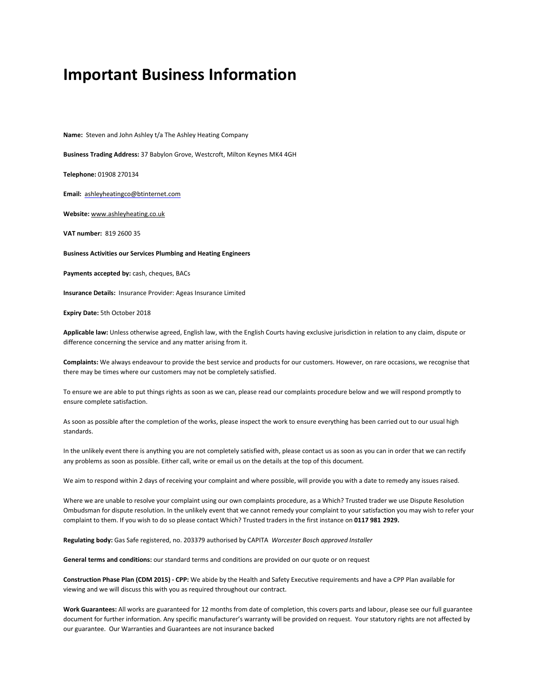# **Important Business Information**

**Name:** Steven and John Ashley t/a The Ashley Heating Company

**Business Trading Address:** 37 Babylon Grove, Westcroft, Milton Keynes MK4 4GH

**Telephone:** 01908 270134

**Email:** [ashleyheatingco@btinternet.com](mailto:ashleyheatingco@btinternet.com)

**Website:** [www.ashleyheating.co.uk](http://www.ashleyheating.co.uk/)

**VAT number:** 819 2600 35

**Business Activities our Services Plumbing and Heating Engineers**

**Payments accepted by:** cash, cheques, BACs

**Insurance Details:** Insurance Provider: Ageas Insurance Limited

**Expiry Date:** 5th October 2018

**Applicable law:** Unless otherwise agreed, English law, with the English Courts having exclusive jurisdiction in relation to any claim, dispute or difference concerning the service and any matter arising from it.

**Complaints:** We always endeavour to provide the best service and products for our customers. However, on rare occasions, we recognise that there may be times where our customers may not be completely satisfied.

To ensure we are able to put things rights as soon as we can, please read our complaints procedure below and we will respond promptly to ensure complete satisfaction.

As soon as possible after the completion of the works, please inspect the work to ensure everything has been carried out to our usual high standards.

In the unlikely event there is anything you are not completely satisfied with, please contact us as soon as you can in order that we can rectify any problems as soon as possible. Either call, write or email us on the details at the top of this document.

We aim to respond within 2 days of receiving your complaint and where possible, will provide you with a date to remedy any issues raised.

Where we are unable to resolve your complaint using our own complaints procedure, as a Which? Trusted trader we use Dispute Resolution Ombudsman for dispute resolution. In the unlikely event that we cannot remedy your complaint to your satisfaction you may wish to refer your complaint to them. If you wish to do so please contact Which? Trusted traders in the first instance on **0117 981 2929.**

**Regulating body:** Gas Safe registered, no. 203379 authorised by CAPITA *Worcester Bosch approved Installer*

**General terms and conditions:** our standard terms and conditions are provided on our quote or on request

**Construction Phase Plan (CDM 2015) - CPP:** We abide by the Health and Safety Executive requirements and have a CPP Plan available for viewing and we will discuss this with you as required throughout our contract.

**Work Guarantees:** All works are guaranteed for 12 months from date of completion, this covers parts and labour, please see our full guarantee document for further information. Any specific manufacturer's warranty will be provided on request. Your statutory rights are not affected by our guarantee. Our Warranties and Guarantees are not insurance backed